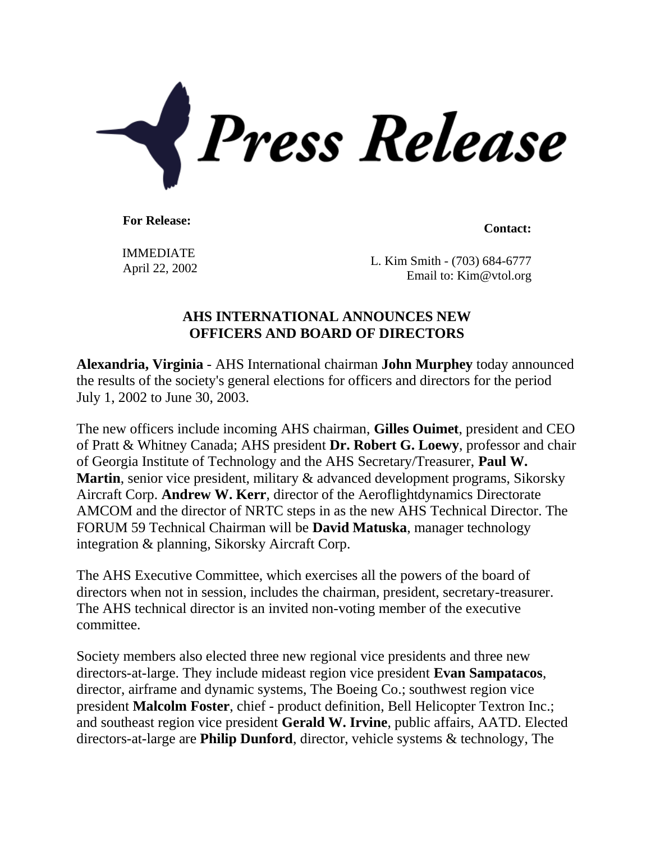

**For Release: Contact: Contact: Contact: Contact: Contact: Contact: Contact: Contact: Contact: Contact: Contact: Contact: Contact: Contact: Contact: Contact: Contact: Contact: Contact:** 

IMMEDIATE

 $\frac{1}{22}$  April 22, 2002 Email to: Kim@vtol.org

## **AHS INTERNATIONAL ANNOUNCES NEW OFFICERS AND BOARD OF DIRECTORS**

**Alexandria, Virginia** - AHS International chairman **John Murphey** today announced the results of the society's general elections for officers and directors for the period July 1, 2002 to June 30, 2003.

The new officers include incoming AHS chairman, **Gilles Ouimet**, president and CEO of Pratt & Whitney Canada; AHS president **Dr. Robert G. Loewy**, professor and chair of Georgia Institute of Technology and the AHS Secretary/Treasurer, **Paul W. Martin**, senior vice president, military & advanced development programs, Sikorsky Aircraft Corp. **Andrew W. Kerr**, director of the Aeroflightdynamics Directorate AMCOM and the director of NRTC steps in as the new AHS Technical Director. The FORUM 59 Technical Chairman will be **David Matuska**, manager technology integration & planning, Sikorsky Aircraft Corp.

The AHS Executive Committee, which exercises all the powers of the board of directors when not in session, includes the chairman, president, secretary-treasurer. The AHS technical director is an invited non-voting member of the executive committee.

Society members also elected three new regional vice presidents and three new directors-at-large. They include mideast region vice president **Evan Sampatacos**, director, airframe and dynamic systems, The Boeing Co.; southwest region vice president **Malcolm Foster**, chief - product definition, Bell Helicopter Textron Inc.; and southeast region vice president **Gerald W. Irvine**, public affairs, AATD. Elected directors-at-large are **Philip Dunford**, director, vehicle systems & technology, The